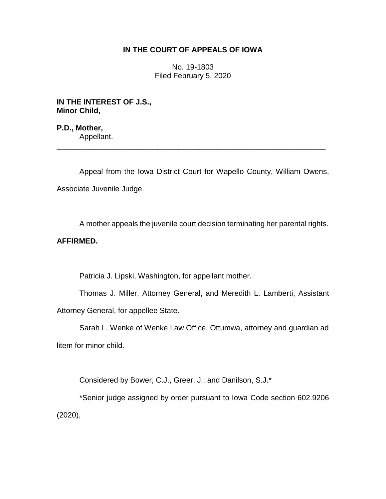# **IN THE COURT OF APPEALS OF IOWA**

No. 19-1803 Filed February 5, 2020

**IN THE INTEREST OF J.S., Minor Child,**

**P.D., Mother,** Appellant.

Appeal from the Iowa District Court for Wapello County, William Owens, Associate Juvenile Judge.

\_\_\_\_\_\_\_\_\_\_\_\_\_\_\_\_\_\_\_\_\_\_\_\_\_\_\_\_\_\_\_\_\_\_\_\_\_\_\_\_\_\_\_\_\_\_\_\_\_\_\_\_\_\_\_\_\_\_\_\_\_\_\_\_

A mother appeals the juvenile court decision terminating her parental rights.

# **AFFIRMED.**

Patricia J. Lipski, Washington, for appellant mother.

Thomas J. Miller, Attorney General, and Meredith L. Lamberti, Assistant Attorney General, for appellee State.

Sarah L. Wenke of Wenke Law Office, Ottumwa, attorney and guardian ad litem for minor child.

Considered by Bower, C.J., Greer, J., and Danilson, S.J.\*

\*Senior judge assigned by order pursuant to Iowa Code section 602.9206 (2020).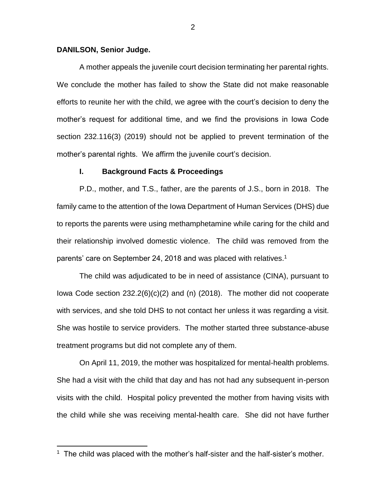#### **DANILSON, Senior Judge.**

 $\overline{a}$ 

A mother appeals the juvenile court decision terminating her parental rights. We conclude the mother has failed to show the State did not make reasonable efforts to reunite her with the child, we agree with the court's decision to deny the mother's request for additional time, and we find the provisions in Iowa Code section 232.116(3) (2019) should not be applied to prevent termination of the mother's parental rights. We affirm the juvenile court's decision.

#### **I. Background Facts & Proceedings**

P.D., mother, and T.S., father, are the parents of J.S., born in 2018. The family came to the attention of the Iowa Department of Human Services (DHS) due to reports the parents were using methamphetamine while caring for the child and their relationship involved domestic violence. The child was removed from the parents' care on September 24, 2018 and was placed with relatives.<sup>1</sup>

The child was adjudicated to be in need of assistance (CINA), pursuant to Iowa Code section 232.2(6)(c)(2) and (n) (2018). The mother did not cooperate with services, and she told DHS to not contact her unless it was regarding a visit. She was hostile to service providers. The mother started three substance-abuse treatment programs but did not complete any of them.

On April 11, 2019, the mother was hospitalized for mental-health problems. She had a visit with the child that day and has not had any subsequent in-person visits with the child. Hospital policy prevented the mother from having visits with the child while she was receiving mental-health care. She did not have further

<sup>&</sup>lt;sup>1</sup> The child was placed with the mother's half-sister and the half-sister's mother.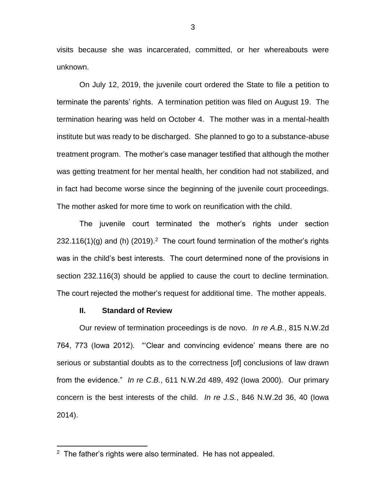visits because she was incarcerated, committed, or her whereabouts were unknown.

On July 12, 2019, the juvenile court ordered the State to file a petition to terminate the parents' rights. A termination petition was filed on August 19. The termination hearing was held on October 4. The mother was in a mental-health institute but was ready to be discharged. She planned to go to a substance-abuse treatment program. The mother's case manager testified that although the mother was getting treatment for her mental health, her condition had not stabilized, and in fact had become worse since the beginning of the juvenile court proceedings. The mother asked for more time to work on reunification with the child.

The juvenile court terminated the mother's rights under section 232.116(1)(g) and (h) (2019).<sup>2</sup> The court found termination of the mother's rights was in the child's best interests. The court determined none of the provisions in section 232.116(3) should be applied to cause the court to decline termination. The court rejected the mother's request for additional time. The mother appeals.

## **II. Standard of Review**

 $\overline{a}$ 

Our review of termination proceedings is de novo. *In re A.B.*, 815 N.W.2d 764, 773 (Iowa 2012). "'Clear and convincing evidence' means there are no serious or substantial doubts as to the correctness [of] conclusions of law drawn from the evidence." *In re C.B.*, 611 N.W.2d 489, 492 (Iowa 2000). Our primary concern is the best interests of the child. *In re J.S.*, 846 N.W.2d 36, 40 (Iowa 2014).

 $2$  The father's rights were also terminated. He has not appealed.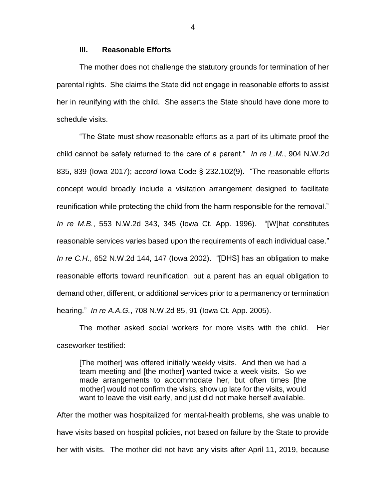## **III. Reasonable Efforts**

The mother does not challenge the statutory grounds for termination of her parental rights. She claims the State did not engage in reasonable efforts to assist her in reunifying with the child. She asserts the State should have done more to schedule visits.

"The State must show reasonable efforts as a part of its ultimate proof the child cannot be safely returned to the care of a parent." *In re L.M.*, 904 N.W.2d 835, 839 (Iowa 2017); *accord* Iowa Code § 232.102(9). "The reasonable efforts concept would broadly include a visitation arrangement designed to facilitate reunification while protecting the child from the harm responsible for the removal." *In re M.B.*, 553 N.W.2d 343, 345 (Iowa Ct. App. 1996). "[W]hat constitutes reasonable services varies based upon the requirements of each individual case." *In re C.H.*, 652 N.W.2d 144, 147 (Iowa 2002). "[DHS] has an obligation to make reasonable efforts toward reunification, but a parent has an equal obligation to demand other, different, or additional services prior to a permanency or termination hearing." *In re A.A.G.*, 708 N.W.2d 85, 91 (Iowa Ct. App. 2005).

The mother asked social workers for more visits with the child. Her caseworker testified:

[The mother] was offered initially weekly visits. And then we had a team meeting and [the mother] wanted twice a week visits. So we made arrangements to accommodate her, but often times [the mother] would not confirm the visits, show up late for the visits, would want to leave the visit early, and just did not make herself available.

After the mother was hospitalized for mental-health problems, she was unable to have visits based on hospital policies, not based on failure by the State to provide her with visits. The mother did not have any visits after April 11, 2019, because

4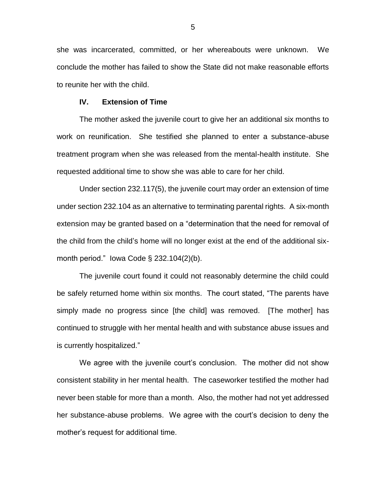she was incarcerated, committed, or her whereabouts were unknown. We conclude the mother has failed to show the State did not make reasonable efforts to reunite her with the child.

## **IV. Extension of Time**

The mother asked the juvenile court to give her an additional six months to work on reunification. She testified she planned to enter a substance-abuse treatment program when she was released from the mental-health institute. She requested additional time to show she was able to care for her child.

Under section 232.117(5), the juvenile court may order an extension of time under section 232.104 as an alternative to terminating parental rights. A six-month extension may be granted based on a "determination that the need for removal of the child from the child's home will no longer exist at the end of the additional sixmonth period." Iowa Code § 232.104(2)(b).

The juvenile court found it could not reasonably determine the child could be safely returned home within six months. The court stated, "The parents have simply made no progress since [the child] was removed. [The mother] has continued to struggle with her mental health and with substance abuse issues and is currently hospitalized."

We agree with the juvenile court's conclusion. The mother did not show consistent stability in her mental health. The caseworker testified the mother had never been stable for more than a month. Also, the mother had not yet addressed her substance-abuse problems. We agree with the court's decision to deny the mother's request for additional time.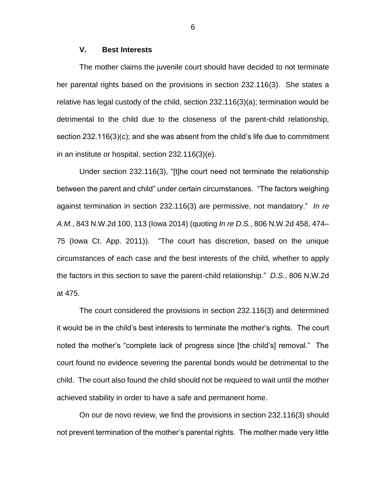## **V. Best Interests**

The mother claims the juvenile court should have decided to not terminate her parental rights based on the provisions in section 232.116(3). She states a relative has legal custody of the child, section 232.116(3)(a); termination would be detrimental to the child due to the closeness of the parent-child relationship, section 232.116(3)(c); and she was absent from the child's life due to commitment in an institute or hospital, section 232.116(3)(e).

Under section 232.116(3), "[t]he court need not terminate the relationship between the parent and child" under certain circumstances. "The factors weighing against termination in section 232.116(3) are permissive, not mandatory." *In re A.M.*, 843 N.W.2d 100, 113 (Iowa 2014) (quoting *In re D.S.*, 806 N.W.2d 458, 474– 75 (Iowa Ct. App. 2011)). "The court has discretion, based on the unique circumstances of each case and the best interests of the child, whether to apply the factors in this section to save the parent-child relationship." *D.S.*, 806 N.W.2d at 475.

The court considered the provisions in section 232.116(3) and determined it would be in the child's best interests to terminate the mother's rights. The court noted the mother's "complete lack of progress since [the child's] removal." The court found no evidence severing the parental bonds would be detrimental to the child. The court also found the child should not be required to wait until the mother achieved stability in order to have a safe and permanent home.

On our de novo review, we find the provisions in section 232.116(3) should not prevent termination of the mother's parental rights. The mother made very little

6